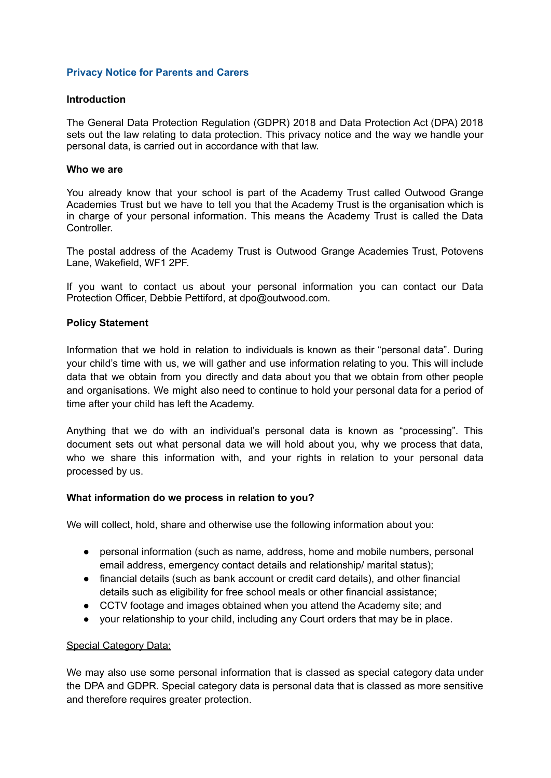### **Privacy Notice for Parents and Carers**

#### **Introduction**

The General Data Protection Regulation (GDPR) 2018 and Data Protection Act (DPA) 2018 sets out the law relating to data protection. This privacy notice and the way we handle your personal data, is carried out in accordance with that law.

#### **Who we are**

You already know that your school is part of the Academy Trust called Outwood Grange Academies Trust but we have to tell you that the Academy Trust is the organisation which is in charge of your personal information. This means the Academy Trust is called the Data Controller.

The postal address of the Academy Trust is Outwood Grange Academies Trust, Potovens Lane, Wakefield, WF1 2PF.

If you want to contact us about your personal information you can contact our Data Protection Officer, Debbie Pettiford, at dpo@outwood.com.

## **Policy Statement**

Information that we hold in relation to individuals is known as their "personal data". During your child's time with us, we will gather and use information relating to you. This will include data that we obtain from you directly and data about you that we obtain from other people and organisations. We might also need to continue to hold your personal data for a period of time after your child has left the Academy.

Anything that we do with an individual's personal data is known as "processing". This document sets out what personal data we will hold about you, why we process that data, who we share this information with, and your rights in relation to your personal data processed by us.

#### **What information do we process in relation to you?**

We will collect, hold, share and otherwise use the following information about you:

- personal information (such as name, address, home and mobile numbers, personal email address, emergency contact details and relationship/ marital status);
- financial details (such as bank account or credit card details), and other financial details such as eligibility for free school meals or other financial assistance;
- CCTV footage and images obtained when you attend the Academy site; and
- your relationship to your child, including any Court orders that may be in place.

## Special Category Data:

We may also use some personal information that is classed as special category data under the DPA and GDPR. Special category data is personal data that is classed as more sensitive and therefore requires greater protection.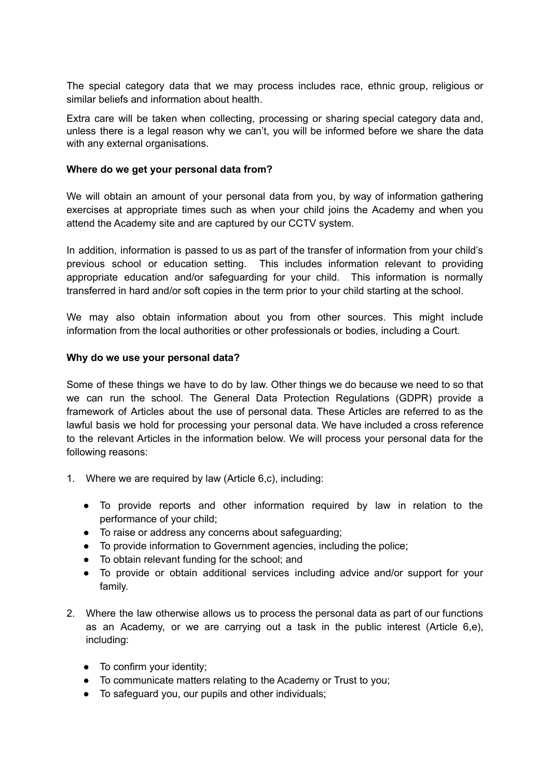The special category data that we may process includes race, ethnic group, religious or similar beliefs and information about health.

Extra care will be taken when collecting, processing or sharing special category data and, unless there is a legal reason why we can't, you will be informed before we share the data with any external organisations.

### **Where do we get your personal data from?**

We will obtain an amount of your personal data from you, by way of information gathering exercises at appropriate times such as when your child joins the Academy and when you attend the Academy site and are captured by our CCTV system.

In addition, information is passed to us as part of the transfer of information from your child's previous school or education setting. This includes information relevant to providing appropriate education and/or safeguarding for your child. This information is normally transferred in hard and/or soft copies in the term prior to your child starting at the school.

We may also obtain information about you from other sources. This might include information from the local authorities or other professionals or bodies, including a Court.

#### **Why do we use your personal data?**

Some of these things we have to do by law. Other things we do because we need to so that we can run the school. The General Data Protection Regulations (GDPR) provide a framework of Articles about the use of personal data. These Articles are referred to as the lawful basis we hold for processing your personal data. We have included a cross reference to the relevant Articles in the information below. We will process your personal data for the following reasons:

- 1. Where we are required by law (Article 6,c), including:
	- To provide reports and other information required by law in relation to the performance of your child;
	- To raise or address any concerns about safeguarding;
	- To provide information to Government agencies, including the police;
	- To obtain relevant funding for the school; and
	- To provide or obtain additional services including advice and/or support for your family.
- 2. Where the law otherwise allows us to process the personal data as part of our functions as an Academy, or we are carrying out a task in the public interest (Article 6,e), including:
	- To confirm your identity;
	- To communicate matters relating to the Academy or Trust to you;
	- To safeguard you, our pupils and other individuals;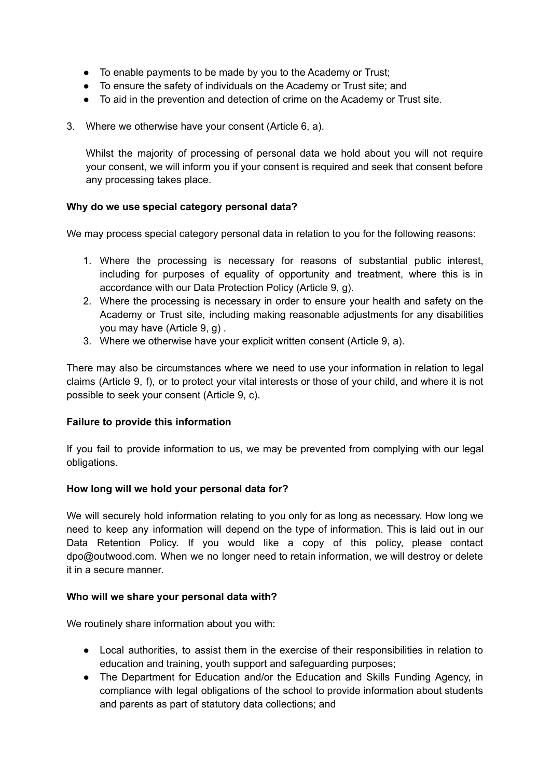- To enable payments to be made by you to the Academy or Trust;
- To ensure the safety of individuals on the Academy or Trust site; and
- To aid in the prevention and detection of crime on the Academy or Trust site.
- 3. Where we otherwise have your consent (Article 6, a).

Whilst the majority of processing of personal data we hold about you will not require your consent, we will inform you if your consent is required and seek that consent before any processing takes place.

## **Why do we use special category personal data?**

We may process special category personal data in relation to you for the following reasons:

- 1. Where the processing is necessary for reasons of substantial public interest, including for purposes of equality of opportunity and treatment, where this is in accordance with our Data Protection Policy (Article 9, g).
- 2. Where the processing is necessary in order to ensure your health and safety on the Academy or Trust site, including making reasonable adjustments for any disabilities you may have (Article 9, g) .
- 3. Where we otherwise have your explicit written consent (Article 9, a).

There may also be circumstances where we need to use your information in relation to legal claims (Article 9, f), or to protect your vital interests or those of your child, and where it is not possible to seek your consent (Article 9, c).

## **Failure to provide this information**

If you fail to provide information to us, we may be prevented from complying with our legal obligations.

## **How long will we hold your personal data for?**

We will securely hold information relating to you only for as long as necessary. How long we need to keep any information will depend on the type of information. This is laid out in our Data Retention Policy. If you would like a copy of this policy, please contact dpo@outwood.com. When we no longer need to retain information, we will destroy or delete it in a secure manner.

#### **Who will we share your personal data with?**

We routinely share information about you with:

- Local authorities, to assist them in the exercise of their responsibilities in relation to education and training, youth support and safeguarding purposes;
- The Department for Education and/or the Education and Skills Funding Agency, in compliance with legal obligations of the school to provide information about students and parents as part of statutory data collections; and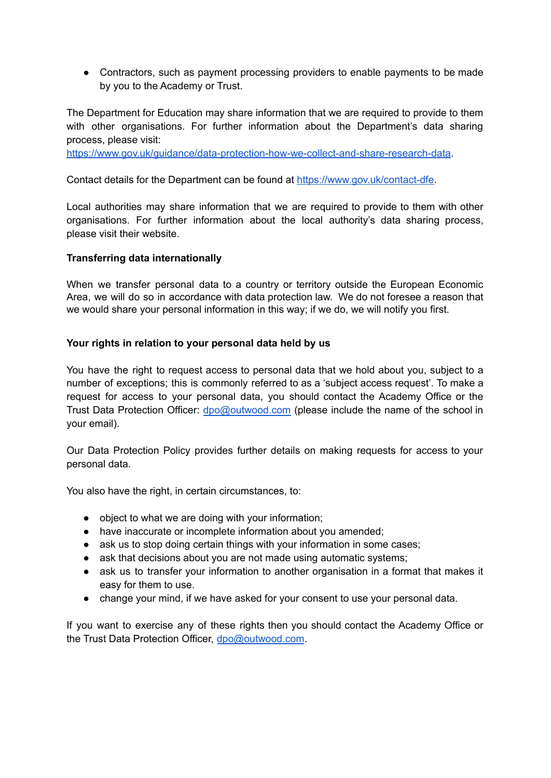• Contractors, such as payment processing providers to enable payments to be made by you to the Academy or Trust.

The Department for Education may share information that we are required to provide to them with other organisations. For further information about the Department's data sharing process, please visit:

[https://www.gov.uk/guidance/data-protection-how-we-collect-and-share-research-data.](https://www.gov.uk/guidance/data-protection-how-we-collect-and-share-research-data)

Contact details for the Department can be found at [https://www.gov.uk/contact-dfe.](https://www.gov.uk/contact-dfe)

Local authorities may share information that we are required to provide to them with other organisations. For further information about the local authority's data sharing process, please visit their website.

# **Transferring data internationally**

When we transfer personal data to a country or territory outside the European Economic Area, we will do so in accordance with data protection law. We do not foresee a reason that we would share your personal information in this way; if we do, we will notify you first.

# **Your rights in relation to your personal data held by us**

You have the right to request access to personal data that we hold about you, subject to a number of exceptions; this is commonly referred to as a 'subject access request'. To make a request for access to your personal data, you should contact the Academy Office or the Trust Data Protection Officer: [dpo@outwood.com](mailto:dpo@outwood.com) (please include the name of the school in your email).

Our Data Protection Policy provides further details on making requests for access to your personal data.

You also have the right, in certain circumstances, to:

- object to what we are doing with your information;
- have inaccurate or incomplete information about you amended;
- ask us to stop doing certain things with your information in some cases;
- ask that decisions about you are not made using automatic systems;
- ask us to transfer your information to another organisation in a format that makes it easy for them to use.
- change your mind, if we have asked for your consent to use your personal data.

If you want to exercise any of these rights then you should contact the Academy Office or the Trust Data Protection Officer, [dpo@outwood.com](mailto:dpo@outwood.com).